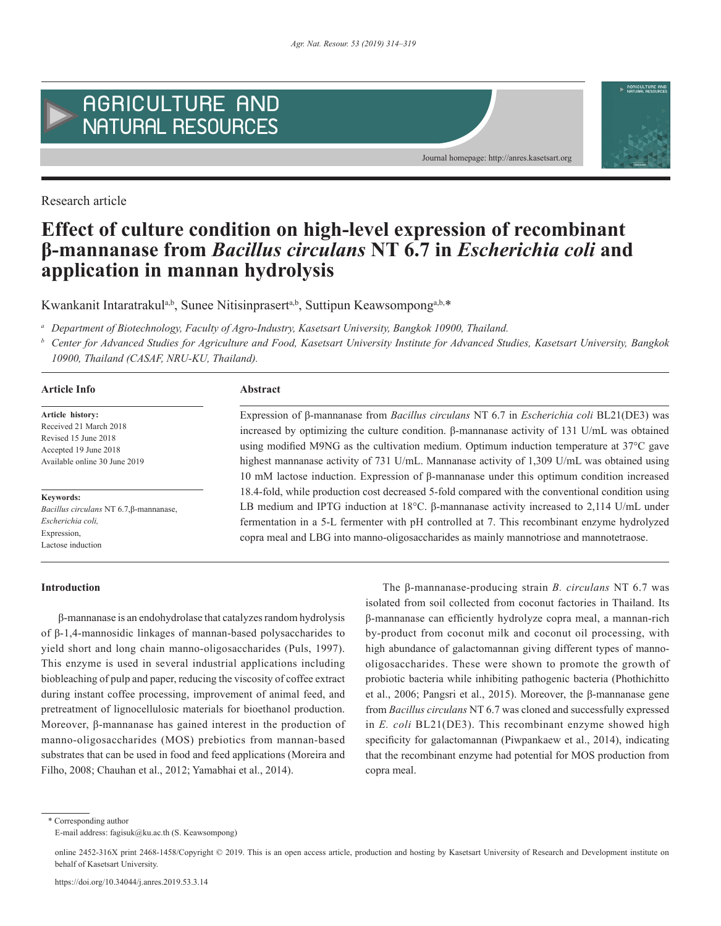

Research article

# **Effect of culture condition on high-level expression of recombinant β-mannanase from** *Bacillus circulans* **NT 6.7 in** *Escherichia coli* **and application in mannan hydrolysis**

Kwankanit Intaratrakul<sup>a,b</sup>, Sunee Nitisinprasert<sup>a,b</sup>, Suttipun Keawsompong<sup>a,b,\*</sup>

*<sup>a</sup> Department of Biotechnology, Faculty of Agro-Industry, Kasetsart University, Bangkok 10900, Thailand.*

*<sup>b</sup> Center for Advanced Studies for Agriculture and Food, Kasetsart University Institute for Advanced Studies, Kasetsart University, Bangkok 10900, Thailand (CASAF, NRU-KU, Thailand).*

# **Article Info Abstract**

**Article history:** Received 21 March 2018 Revised 15 June 2018 Accepted 19 June 2018 Available online 30 June 2019

**Keywords:** *Bacillus circulans* NT 6.7,β-mannanase, *Escherichia coli,* Expression, Lactose induction

Expression of β-mannanase from *Bacillus circulans* NT 6.7 in *Escherichia coli* BL21(DE3) was increased by optimizing the culture condition. β-mannanase activity of 131 U/mL was obtained using modified M9NG as the cultivation medium. Optimum induction temperature at 37°C gave highest mannanase activity of 731 U/mL. Mannanase activity of 1,309 U/mL was obtained using 10 mM lactose induction. Expression of β-mannanase under this optimum condition increased 18.4-fold, while production cost decreased 5-fold compared with the conventional condition using LB medium and IPTG induction at 18°C. β-mannanase activity increased to 2,114 U/mL under fermentation in a 5-L fermenter with pH controlled at 7. This recombinant enzyme hydrolyzed copra meal and LBG into manno-oligosaccharides as mainly mannotriose and mannotetraose.

Journal homepage: http://anres.kasetsart.org

# **Introduction**

β-mannanase is an endohydrolase that catalyzes random hydrolysis of β-1,4-mannosidic linkages of mannan-based polysaccharides to yield short and long chain manno-oligosaccharides (Puls, 1997). This enzyme is used in several industrial applications including biobleaching of pulp and paper, reducing the viscosity of coffee extract during instant coffee processing, improvement of animal feed, and pretreatment of lignocellulosic materials for bioethanol production. Moreover, β-mannanase has gained interest in the production of manno-oligosaccharides (MOS) prebiotics from mannan-based substrates that can be used in food and feed applications (Moreira and Filho, 2008; Chauhan et al., 2012; Yamabhai et al., 2014).

The β-mannanase-producing strain *B. circulans* NT 6.7 was isolated from soil collected from coconut factories in Thailand. Its β-mannanase can efficiently hydrolyze copra meal, a mannan-rich by-product from coconut milk and coconut oil processing, with high abundance of galactomannan giving different types of mannooligosaccharides. These were shown to promote the growth of probiotic bacteria while inhibiting pathogenic bacteria (Phothichitto et al., 2006; Pangsri et al., 2015). Moreover, the β-mannanase gene from *Bacillus circulans* NT 6.7 was cloned and successfully expressed in *E. coli* BL21(DE3). This recombinant enzyme showed high specificity for galactomannan (Piwpankaew et al., 2014), indicating that the recombinant enzyme had potential for MOS production from copra meal.

\* Corresponding author E-mail address: fagisuk@ku.ac.th (S. Keawsompong)

online 2452-316X print 2468-1458/Copyright © 2019. This is an open access article, production and hosting by Kasetsart University of Research and Development institute on behalf of Kasetsart University.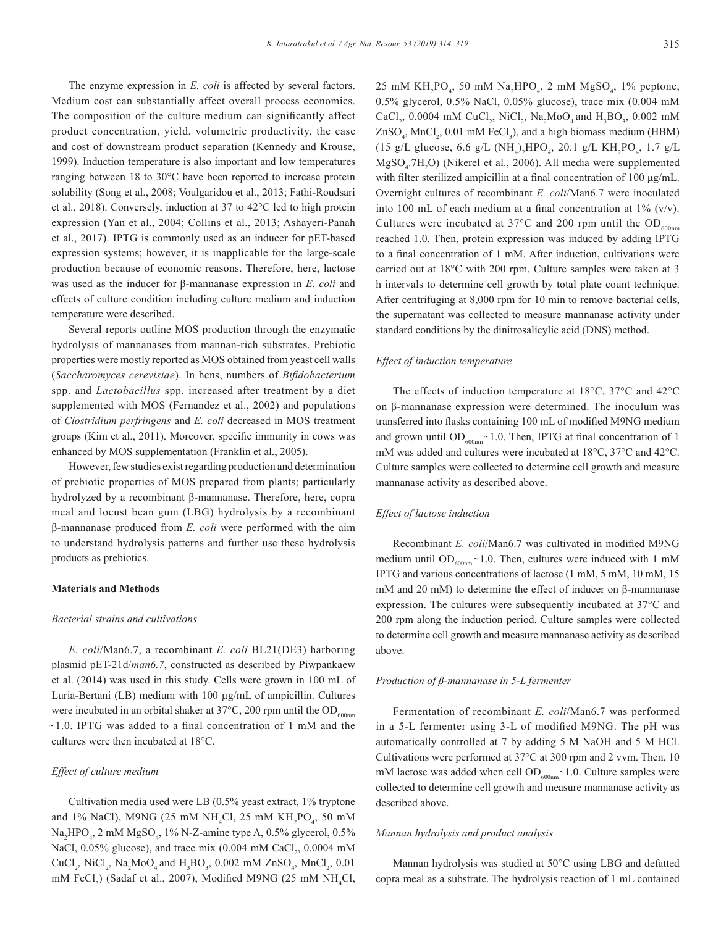The enzyme expression in *E. coli* is affected by several factors. Medium cost can substantially affect overall process economics. The composition of the culture medium can significantly affect product concentration, yield, volumetric productivity, the ease and cost of downstream product separation (Kennedy and Krouse, 1999). Induction temperature is also important and low temperatures ranging between 18 to 30°C have been reported to increase protein solubility (Song et al., 2008; Voulgaridou et al., 2013; Fathi-Roudsari et al., 2018). Conversely, induction at 37 to 42°C led to high protein expression (Yan et al., 2004; Collins et al., 2013; Ashayeri-Panah et al., 2017). IPTG is commonly used as an inducer for pET-based expression systems; however, it is inapplicable for the large-scale production because of economic reasons. Therefore, here, lactose was used as the inducer for β-mannanase expression in *E. coli* and effects of culture condition including culture medium and induction temperature were described.

Several reports outline MOS production through the enzymatic hydrolysis of mannanases from mannan-rich substrates. Prebiotic properties were mostly reported as MOS obtained from yeast cell walls (*Saccharomyces cerevisiae*). In hens, numbers of *Bifidobacterium* spp. and *Lactobacillus* spp. increased after treatment by a diet supplemented with MOS (Fernandez et al., 2002) and populations of *Clostridium perfringens* and *E. coli* decreased in MOS treatment groups (Kim et al., 2011). Moreover, specific immunity in cows was enhanced by MOS supplementation (Franklin et al., 2005).

However, few studies exist regarding production and determination of prebiotic properties of MOS prepared from plants; particularly hydrolyzed by a recombinant β-mannanase. Therefore, here, copra meal and locust bean gum (LBG) hydrolysis by a recombinant β-mannanase produced from *E. coli* were performed with the aim to understand hydrolysis patterns and further use these hydrolysis products as prebiotics.

#### **Materials and Methods**

#### *Bacterial strains and cultivations*

*E. coli*/Man6.7, a recombinant *E. coli* BL21(DE3) harboring plasmid pET-21d/*man6.7*, constructed as described by Piwpankaew et al. (2014) was used in this study. Cells were grown in 100 mL of Luria-Bertani (LB) medium with 100 µg/mL of ampicillin. Cultures were incubated in an orbital shaker at 37 $\degree$ C, 200 rpm until the OD<sub>600nm</sub> ̴ 1.0. IPTG was added to a final concentration of 1 mM and the cultures were then incubated at 18°C.

# *Effect of culture medium*

Cultivation media used were LB (0.5% yeast extract, 1% tryptone and 1% NaCl), M9NG (25 mM NH<sub>4</sub>Cl, 25 mM KH<sub>2</sub>PO<sub>4</sub>, 50 mM  $Na<sub>2</sub>HPO<sub>4</sub>$ , 2 mM  $MgSO<sub>4</sub>$ , 1% N-Z-amine type A, 0.5% glycerol, 0.5% NaCl,  $0.05\%$  glucose), and trace mix  $(0.004 \text{ mM } \text{CaCl}_2, 0.0004 \text{ mM } \text{C}$ CuCl<sub>2</sub>, NiCl<sub>2</sub>, Na<sub>2</sub>MoO<sub>4</sub> and H<sub>3</sub>BO<sub>3</sub>, 0.002 mM ZnSO<sub>4</sub>, MnCl<sub>2</sub>, 0.01 mM FeCl<sub>3</sub>) (Sadaf et al., 2007), Modified M9NG (25 mM NH<sub>4</sub>Cl,

25 mM  $KH_2PO_4$ , 50 mM  $Na_2HPO_4$ , 2 mM  $MgSO_4$ , 1% peptone, 0.5% glycerol, 0.5% NaCl, 0.05% glucose), trace mix (0.004 mM  $CaCl_2$ , 0.0004 mM CuCl<sub>2</sub>, NiCl<sub>2</sub>, Na<sub>2</sub>MoO<sub>4</sub> and H<sub>3</sub>BO<sub>3</sub>, 0.002 mM  $ZnSO_4$ , MnCl<sub>2</sub>, 0.01 mM FeCl<sub>3</sub>), and a high biomass medium (HBM) (15 g/L glucose, 6.6 g/L (NH<sub>4</sub>)<sub>2</sub>HPO<sub>4</sub>, 20.1 g/L KH<sub>2</sub>PO<sub>4</sub>, 1.7 g/L  $MgSO<sub>4</sub>$ .7H<sub>2</sub>O) (Nikerel et al., 2006). All media were supplemented with filter sterilized ampicillin at a final concentration of 100 μg/mL. Overnight cultures of recombinant *E. coli*/Man6.7 were inoculated into 100 mL of each medium at a final concentration at  $1\%$  (v/v). Cultures were incubated at 37 $^{\circ}$ C and 200 rpm until the OD<sub>600nm</sub> reached 1.0. Then, protein expression was induced by adding IPTG to a final concentration of 1 mM. After induction, cultivations were carried out at 18°C with 200 rpm. Culture samples were taken at 3 h intervals to determine cell growth by total plate count technique. After centrifuging at 8,000 rpm for 10 min to remove bacterial cells, the supernatant was collected to measure mannanase activity under standard conditions by the dinitrosalicylic acid (DNS) method.

# *Effect of induction temperature*

The effects of induction temperature at 18°C, 37°C and 42°C on β-mannanase expression were determined. The inoculum was transferred into flasks containing 100 mL of modified M9NG medium and grown until  $OD_{600nm}$   $\sim$  1.0. Then, IPTG at final concentration of 1 mM was added and cultures were incubated at 18°C, 37°C and 42°C. Culture samples were collected to determine cell growth and measure mannanase activity as described above.

# *Effect of lactose induction*

Recombinant *E. coli*/Man6.7 was cultivated in modified M9NG medium until OD<sub>600nm</sub>  $\sim$  1.0. Then, cultures were induced with 1 mM IPTG and various concentrations of lactose (1 mM, 5 mM, 10 mM, 15 mM and 20 mM) to determine the effect of inducer on β-mannanase expression. The cultures were subsequently incubated at 37°C and 200 rpm along the induction period. Culture samples were collected to determine cell growth and measure mannanase activity as described above.

#### *Production of β-mannanase in 5-L fermenter*

Fermentation of recombinant *E. coli*/Man6.7 was performed in a 5-L fermenter using 3-L of modified M9NG. The pH was automatically controlled at 7 by adding 5 M NaOH and 5 M HCl. Cultivations were performed at 37°C at 300 rpm and 2 vvm. Then, 10 mM lactose was added when cell  $OD_{600nm}$  ~ 1.0. Culture samples were collected to determine cell growth and measure mannanase activity as described above.

#### *Mannan hydrolysis and product analysis*

Mannan hydrolysis was studied at 50°C using LBG and defatted copra meal as a substrate. The hydrolysis reaction of 1 mL contained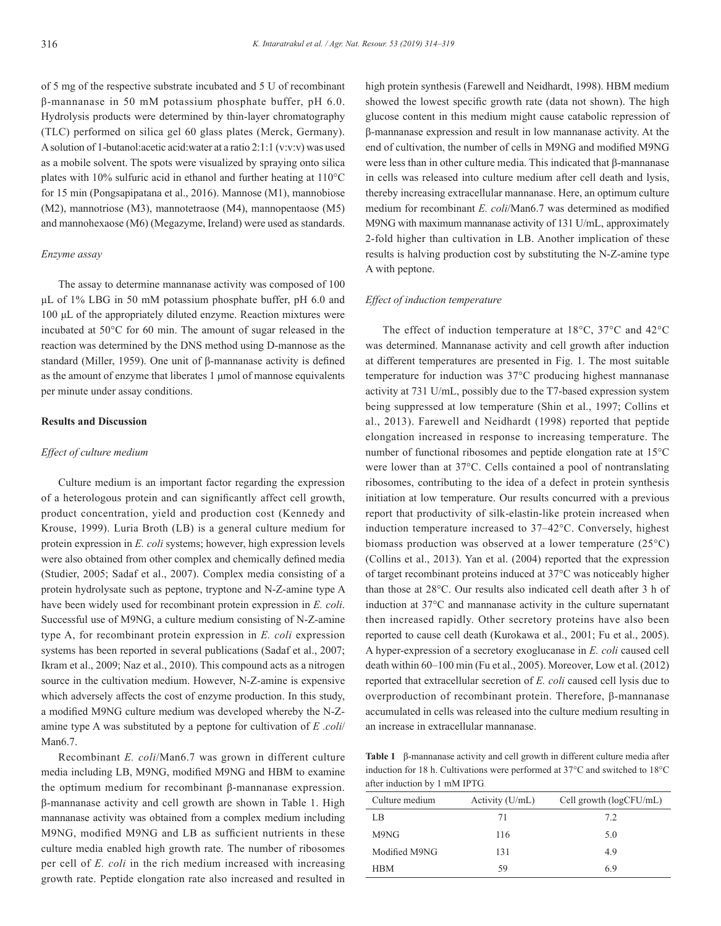of 5 mg of the respective substrate incubated and 5 U of recombinant β-mannanase in 50 mM potassium phosphate buffer, pH 6.0. Hydrolysis products were determined by thin-layer chromatography (TLC) performed on silica gel 60 glass plates (Merck, Germany). A solution of 1-butanol:acetic acid:water at a ratio 2:1:1 (v:v:v) was used as a mobile solvent. The spots were visualized by spraying onto silica plates with 10% sulfuric acid in ethanol and further heating at 110°C for 15 min (Pongsapipatana et al., 2016). Mannose (M1), mannobiose (M2), mannotriose (M3), mannotetraose (M4), mannopentaose (M5) and mannohexaose (M6) (Megazyme, Ireland) were used as standards.

# *Enzyme assay*

The assay to determine mannanase activity was composed of 100 μL of 1% LBG in 50 mM potassium phosphate buffer, pH 6.0 and 100 μL of the appropriately diluted enzyme. Reaction mixtures were incubated at 50°C for 60 min. The amount of sugar released in the reaction was determined by the DNS method using D-mannose as the standard (Miller, 1959). One unit of β-mannanase activity is defined as the amount of enzyme that liberates 1 μmol of mannose equivalents per minute under assay conditions.

#### **Results and Discussion**

#### *Effect of culture medium*

Culture medium is an important factor regarding the expression of a heterologous protein and can significantly affect cell growth, product concentration, yield and production cost (Kennedy and Krouse, 1999). Luria Broth (LB) is a general culture medium for protein expression in *E. coli* systems; however, high expression levels were also obtained from other complex and chemically defined media (Studier, 2005; Sadaf et al., 2007). Complex media consisting of a protein hydrolysate such as peptone, tryptone and N-Z-amine type A have been widely used for recombinant protein expression in *E. coli*. Successful use of M9NG, a culture medium consisting of N-Z-amine type A, for recombinant protein expression in *E. coli* expression systems has been reported in several publications (Sadaf et al., 2007; Ikram et al., 2009; Naz et al., 2010). This compound acts as a nitrogen source in the cultivation medium. However, N-Z-amine is expensive which adversely affects the cost of enzyme production. In this study, a modified M9NG culture medium was developed whereby the N-Zamine type A was substituted by a peptone for cultivation of *E .coli*/ Man6.7.

Recombinant *E. coli*/Man6.7 was grown in different culture media including LB, M9NG, modified M9NG and HBM to examine the optimum medium for recombinant β-mannanase expression. β-mannanase activity and cell growth are shown in Table 1. High mannanase activity was obtained from a complex medium including M9NG, modified M9NG and LB as sufficient nutrients in these culture media enabled high growth rate. The number of ribosomes per cell of *E. coli* in the rich medium increased with increasing growth rate. Peptide elongation rate also increased and resulted in

high protein synthesis (Farewell and Neidhardt, 1998). HBM medium showed the lowest specific growth rate (data not shown). The high glucose content in this medium might cause catabolic repression of β-mannanase expression and result in low mannanase activity. At the end of cultivation, the number of cells in M9NG and modified M9NG were less than in other culture media. This indicated that β-mannanase in cells was released into culture medium after cell death and lysis, thereby increasing extracellular mannanase. Here, an optimum culture medium for recombinant *E. coli*/Man6.7 was determined as modified M9NG with maximum mannanase activity of 131 U/mL, approximately 2-fold higher than cultivation in LB. Another implication of these results is halving production cost by substituting the N-Z-amine type A with peptone.

#### *Effect of induction temperature*

The effect of induction temperature at 18°C, 37°C and 42°C was determined. Mannanase activity and cell growth after induction at different temperatures are presented in Fig. 1. The most suitable temperature for induction was 37°C producing highest mannanase activity at 731 U/mL, possibly due to the T7-based expression system being suppressed at low temperature (Shin et al., 1997; Collins et al., 2013). Farewell and Neidhardt (1998) reported that peptide elongation increased in response to increasing temperature. The number of functional ribosomes and peptide elongation rate at 15°C were lower than at 37°C. Cells contained a pool of nontranslating ribosomes, contributing to the idea of a defect in protein synthesis initiation at low temperature. Our results concurred with a previous report that productivity of silk-elastin-like protein increased when induction temperature increased to 37–42°C. Conversely, highest biomass production was observed at a lower temperature (25°C) (Collins et al., 2013). Yan et al. (2004) reported that the expression of target recombinant proteins induced at 37°C was noticeably higher than those at 28°C. Our results also indicated cell death after 3 h of induction at 37°C and mannanase activity in the culture supernatant then increased rapidly. Other secretory proteins have also been reported to cause cell death (Kurokawa et al., 2001; Fu et al., 2005). A hyper-expression of a secretory exoglucanase in *E. coli* caused cell death within 60–100 min (Fu et al., 2005). Moreover, Low et al. (2012) reported that extracellular secretion of *E. coli* caused cell lysis due to overproduction of recombinant protein. Therefore, β-mannanase accumulated in cells was released into the culture medium resulting in an increase in extracellular mannanase.

**Table 1** β-mannanase activity and cell growth in different culture media after induction for 18 h. Cultivations were performed at 37°C and switched to 18°C after induction by 1 mM IPTG.

| Culture medium | Activity (U/mL) | Cell growth (logCFU/mL) |
|----------------|-----------------|-------------------------|
| LB             | 71              | 72                      |
| M9NG           | 116             | 5.0                     |
| Modified M9NG  | 131             | 4.9                     |
| <b>HBM</b>     | 59              | 6.9                     |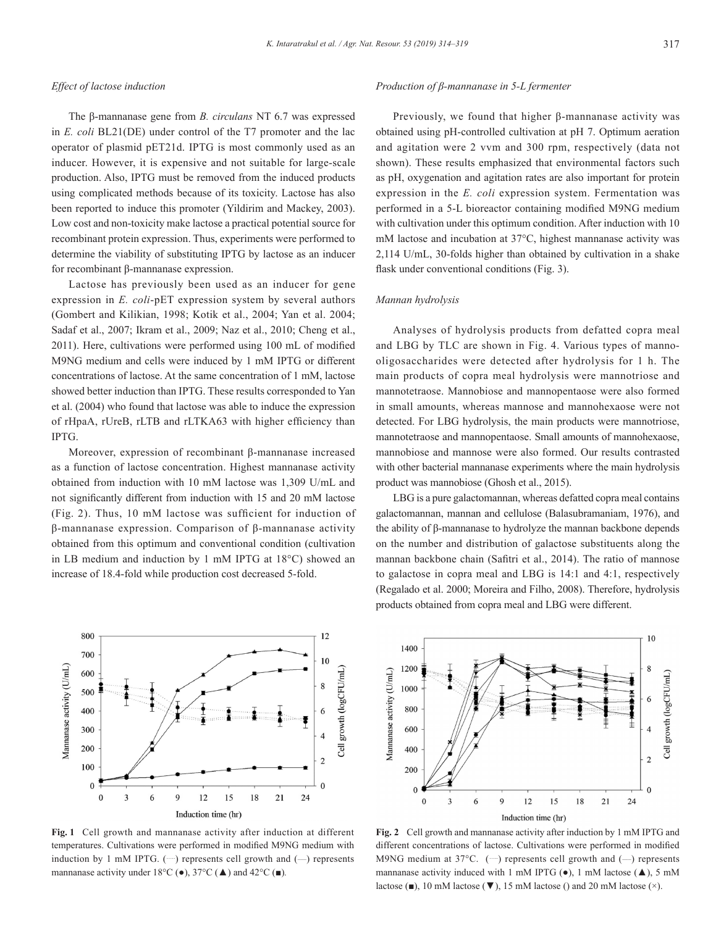#### *Effect of lactose induction*

The β-mannanase gene from *B. circulans* NT 6.7 was expressed in *E. coli* BL21(DE) under control of the T7 promoter and the lac operator of plasmid pET21d. IPTG is most commonly used as an inducer. However, it is expensive and not suitable for large-scale production. Also, IPTG must be removed from the induced products using complicated methods because of its toxicity. Lactose has also been reported to induce this promoter (Yildirim and Mackey, 2003). Low cost and non-toxicity make lactose a practical potential source for recombinant protein expression. Thus, experiments were performed to determine the viability of substituting IPTG by lactose as an inducer for recombinant β-mannanase expression.

Lactose has previously been used as an inducer for gene expression in *E. coli*-pET expression system by several authors (Gombert and Kilikian, 1998; Kotik et al., 2004; Yan et al. 2004; Sadaf et al., 2007; Ikram et al., 2009; Naz et al., 2010; Cheng et al., 2011). Here, cultivations were performed using 100 mL of modified M9NG medium and cells were induced by 1 mM IPTG or different concentrations of lactose. At the same concentration of 1 mM, lactose showed better induction than IPTG. These results corresponded to Yan et al. (2004) who found that lactose was able to induce the expression of rHpaA, rUreB, rLTB and rLTKA63 with higher efficiency than IPTG.

Moreover, expression of recombinant β-mannanase increased as a function of lactose concentration. Highest mannanase activity obtained from induction with 10 mM lactose was 1,309 U/mL and not significantly different from induction with 15 and 20 mM lactose (Fig. 2). Thus, 10 mM lactose was sufficient for induction of β-mannanase expression. Comparison of β-mannanase activity obtained from this optimum and conventional condition (cultivation in LB medium and induction by 1 mM IPTG at 18°C) showed an increase of 18.4-fold while production cost decreased 5-fold.

#### *Production of β-mannanase in 5-L fermenter*

Previously, we found that higher β-mannanase activity was obtained using pH-controlled cultivation at pH 7. Optimum aeration and agitation were 2 vvm and 300 rpm, respectively (data not shown). These results emphasized that environmental factors such as pH, oxygenation and agitation rates are also important for protein expression in the *E. coli* expression system. Fermentation was performed in a 5-L bioreactor containing modified M9NG medium with cultivation under this optimum condition. After induction with 10 mM lactose and incubation at 37°C, highest mannanase activity was 2,114 U/mL, 30-folds higher than obtained by cultivation in a shake flask under conventional conditions (Fig. 3).

# *Mannan hydrolysis*

Analyses of hydrolysis products from defatted copra meal and LBG by TLC are shown in Fig. 4. Various types of mannooligosaccharides were detected after hydrolysis for 1 h. The main products of copra meal hydrolysis were mannotriose and mannotetraose. Mannobiose and mannopentaose were also formed in small amounts, whereas mannose and mannohexaose were not detected. For LBG hydrolysis, the main products were mannotriose, mannotetraose and mannopentaose. Small amounts of mannohexaose, mannobiose and mannose were also formed. Our results contrasted with other bacterial mannanase experiments where the main hydrolysis product was mannobiose (Ghosh et al., 2015).

LBG is a pure galactomannan, whereas defatted copra meal contains galactomannan, mannan and cellulose (Balasubramaniam, 1976), and the ability of β-mannanase to hydrolyze the mannan backbone depends on the number and distribution of galactose substituents along the mannan backbone chain (Safitri et al., 2014). The ratio of mannose to galactose in copra meal and LBG is 14:1 and 4:1, respectively (Regalado et al. 2000; Moreira and Filho, 2008). Therefore, hydrolysis products obtained from copra meal and LBG were different.



**Fig. 1** Cell growth and mannanase activity after induction at different temperatures. Cultivations were performed in modified M9NG medium with induction by 1 mM IPTG.  $(\cdots)$  represents cell growth and  $(-)$  represents mannanase activity under  $18^{\circ}$ C ( $\bullet$ ),  $37^{\circ}$ C ( $\blacktriangle$ ) and  $42^{\circ}$ C ( $\blacktriangle$ ).



**Fig. 2** Cell growth and mannanase activity after induction by 1 mM IPTG and different concentrations of lactose. Cultivations were performed in modified M9NG medium at  $37^{\circ}$ C. (…..) represents cell growth and (--) represents mannanase activity induced with 1 mM IPTG  $(\bullet)$ , 1 mM lactose  $(\blacktriangle)$ , 5 mM lactose ( $\blacksquare$ ), 10 mM lactose ( $\nabla$ ), 15 mM lactose () and 20 mM lactose ( $\times$ ).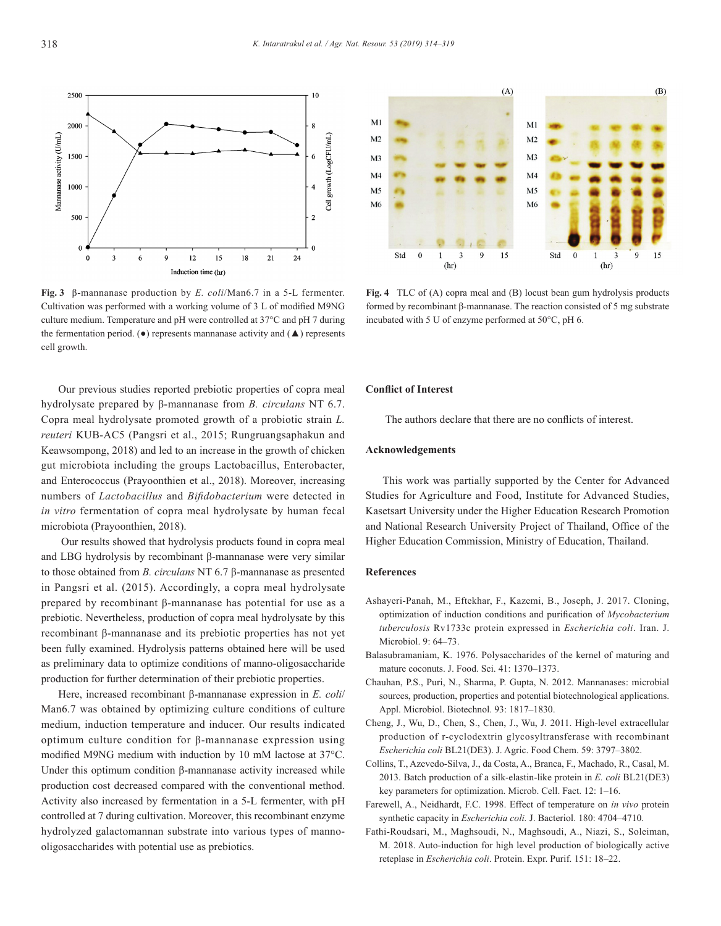

**Fig. 3** β-mannanase production by *E. coli*/Man6.7 in a 5-L fermenter. Cultivation was performed with a working volume of 3 L of modified M9NG culture medium. Temperature and pH were controlled at 37°C and pH 7 during the fermentation period. ( $\bullet$ ) represents mannanase activity and ( $\blacktriangle$ ) represents cell growth.

Our previous studies reported prebiotic properties of copra meal hydrolysate prepared by β-mannanase from *B. circulans* NT 6.7. Copra meal hydrolysate promoted growth of a probiotic strain *L. reuteri* KUB-AC5 (Pangsri et al., 2015; Rungruangsaphakun and Keawsompong, 2018) and led to an increase in the growth of chicken gut microbiota including the groups Lactobacillus, Enterobacter, and Enterococcus (Prayoonthien et al., 2018). Moreover, increasing numbers of *Lactobacillus* and *Bifidobacterium* were detected in *in vitro* fermentation of copra meal hydrolysate by human fecal microbiota (Prayoonthien, 2018).

 Our results showed that hydrolysis products found in copra meal and LBG hydrolysis by recombinant β-mannanase were very similar to those obtained from *B. circulans* NT 6.7 β-mannanase as presented in Pangsri et al. (2015). Accordingly, a copra meal hydrolysate prepared by recombinant β-mannanase has potential for use as a prebiotic. Nevertheless, production of copra meal hydrolysate by this recombinant β-mannanase and its prebiotic properties has not yet been fully examined. Hydrolysis patterns obtained here will be used as preliminary data to optimize conditions of manno-oligosaccharide production for further determination of their prebiotic properties.

Here, increased recombinant β-mannanase expression in *E. coli*/ Man6.7 was obtained by optimizing culture conditions of culture medium, induction temperature and inducer. Our results indicated optimum culture condition for β-mannanase expression using modified M9NG medium with induction by 10 mM lactose at 37°C. Under this optimum condition β-mannanase activity increased while production cost decreased compared with the conventional method. Activity also increased by fermentation in a 5-L fermenter, with pH controlled at 7 during cultivation. Moreover, this recombinant enzyme hydrolyzed galactomannan substrate into various types of mannooligosaccharides with potential use as prebiotics.



**Fig. 4** TLC of (A) copra meal and (B) locust bean gum hydrolysis products formed by recombinant β-mannanase. The reaction consisted of 5 mg substrate incubated with 5 U of enzyme performed at 50°C, pH 6.

# **Conflict of Interest**

The authors declare that there are no conflicts of interest.

# **Acknowledgements**

This work was partially supported by the Center for Advanced Studies for Agriculture and Food, Institute for Advanced Studies, Kasetsart University under the Higher Education Research Promotion and National Research University Project of Thailand, Office of the Higher Education Commission, Ministry of Education, Thailand.

# **References**

- Ashayeri-Panah, M., Eftekhar, F., Kazemi, B., Joseph, J. 2017. Cloning, optimization of induction conditions and purification of *Mycobacterium tuberculosis* Rv1733c protein expressed in *Escherichia coli*. Iran. J. Microbiol. 9: 64–73.
- Balasubramaniam, K. 1976. Polysaccharides of the kernel of maturing and mature coconuts. J. Food. Sci. 41: 1370–1373.
- Chauhan, P.S., Puri, N., Sharma, P. Gupta, N. 2012. Mannanases: microbial sources, production, properties and potential biotechnological applications. Appl. Microbiol. Biotechnol. 93: 1817–1830.
- Cheng, J., Wu, D., Chen, S., Chen, J., Wu, J. 2011. High-level extracellular production of r-cyclodextrin glycosyltransferase with recombinant *Escherichia coli* BL21(DE3). J. Agric. Food Chem. 59: 3797–3802.
- Collins, T., Azevedo-Silva, J., da Costa, A., Branca, F., Machado, R., Casal, M. 2013. Batch production of a silk-elastin-like protein in *E. coli* BL21(DE3) key parameters for optimization. Microb. Cell. Fact. 12: 1–16.
- Farewell, A., Neidhardt, F.C. 1998. Effect of temperature on *in vivo* protein synthetic capacity in *Escherichia coli.* J. Bacteriol. 180: 4704–4710.
- Fathi-Roudsari, M., Maghsoudi, N., Maghsoudi, A., Niazi, S., Soleiman, M. 2018. Auto-induction for high level production of biologically active reteplase in *Escherichia coli*. Protein. Expr. Purif. 151: 18–22.